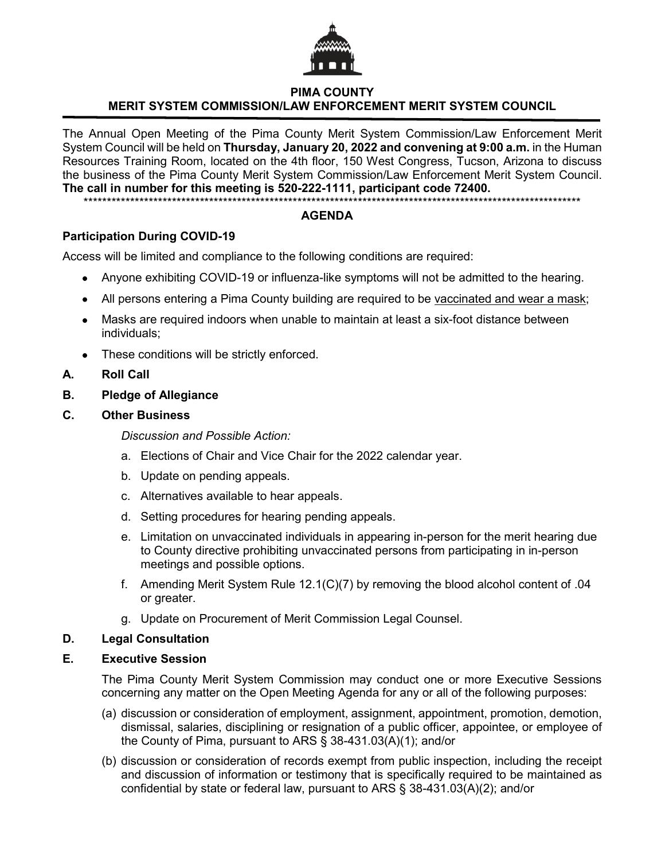

# **PIMA COUNTY MERIT SYSTEM COMMISSION/LAW ENFORCEMENT MERIT SYSTEM COUNCIL**

The Annual Open Meeting of the Pima County Merit System Commission/Law Enforcement Merit System Council will be held on **Thursday, January 20, 2022 and convening at 9:00 a.m.** in the Human Resources Training Room, located on the 4th floor, 150 West Congress, Tucson, Arizona to discuss the business of the Pima County Merit System Commission/Law Enforcement Merit System Council. **The call in number for this meeting is 520-222-1111, participant code 72400.**

\*\*\*\*\*\*\*\*\*\*\*\*\*\*\*\*\*\*\*\*\*\*\*\*\*\*\*\*\*\*\*\*\*\*\*\*\*\*\*\*\*\*\*\*\*\*\*\*\*\*\*\*\*\*\*\*\*\*\*\*\*\*\*\*\*\*\*\*\*\*\*\*\*\*\*\*\*\*\*\*\*\*\*\*\*\*\*\*\*\*\*\*\*\*\*\*\*\*\*\*\*\*\*\*\*\*\*

## **AGENDA**

# **Participation During COVID-19**

Access will be limited and compliance to the following conditions are required:

- Anyone exhibiting COVID-19 or influenza-like symptoms will not be admitted to the hearing.
- All persons entering a Pima County building are required to be vaccinated and wear a mask;
- Masks are required indoors when unable to maintain at least a six-foot distance between individuals;
- These conditions will be strictly enforced.

## **A. Roll Call**

- **B. Pledge of Allegiance**
- **C. Other Business**

*Discussion and Possible Action:*

- a. Elections of Chair and Vice Chair for the 2022 calendar year.
- b. Update on pending appeals.
- c. Alternatives available to hear appeals.
- d. Setting procedures for hearing pending appeals.
- e. Limitation on unvaccinated individuals in appearing in-person for the merit hearing due to County directive prohibiting unvaccinated persons from participating in in-person meetings and possible options.
- f. Amending Merit System Rule 12.1(C)(7) by removing the blood alcohol content of .04 or greater.
- g. Update on Procurement of Merit Commission Legal Counsel.

## **D. Legal Consultation**

#### **E. Executive Session**

The Pima County Merit System Commission may conduct one or more Executive Sessions concerning any matter on the Open Meeting Agenda for any or all of the following purposes:

- (a) discussion or consideration of employment, assignment, appointment, promotion, demotion, dismissal, salaries, disciplining or resignation of a public officer, appointee, or employee of the County of Pima, pursuant to ARS § 38-431.03(A)(1); and/or
- (b) discussion or consideration of records exempt from public inspection, including the receipt and discussion of information or testimony that is specifically required to be maintained as confidential by state or federal law, pursuant to ARS § 38-431.03(A)(2); and/or